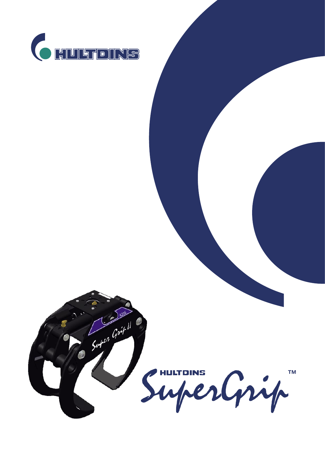

Super Grip !

SuperGrip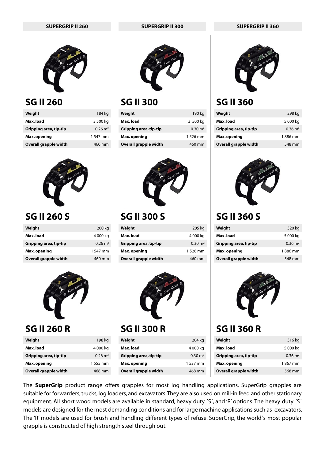

#### **SG II 260**

| Weight                 | 184 kg             |
|------------------------|--------------------|
| Max. load              | 3 500 kg           |
| Gripping area, tip-tip | $0.26 \text{ m}^2$ |
| Max.opening            | 1 547 mm           |
| Overall grapple width  | 460 mm             |



#### **SG II 260 S**

| Weight                 | 200 kg             |
|------------------------|--------------------|
| Max. load              | 4 000 kg           |
| Gripping area, tip-tip | $0.26 \text{ m}^2$ |
| Max. opening           | 1547 mm            |
| Overall grapple width  | 460 mm             |



#### **SG II 260 R**

| 198 kg             |
|--------------------|
| 4 000 kg           |
| $0.26 \text{ m}^2$ |
| 1 555 mm           |
| 468 mm             |
|                    |







### **SG II 300**

| Weight                 | 190 kg             |
|------------------------|--------------------|
| Max. load              | 3 500 kg           |
| Gripping area, tip-tip | $0.30 \text{ m}^2$ |
| Max. opening           | 1 526 mm           |
| Overall grapple width  | 460 mm             |



## **SG II 300 S**

| Weight                 | 205 kg             |
|------------------------|--------------------|
| Max.load               | 4 000 kg           |
| Gripping area, tip-tip | $0.30 \text{ m}^2$ |
| Max.opening            | 1 526 mm           |
| Overall grapple width  | 460 mm             |



#### **SG II 300 R**

| Weight                 | 204 kg             |
|------------------------|--------------------|
| Max. load              | 4 000 kg           |
| Gripping area, tip-tip | $0.30 \text{ m}^2$ |
| Max. opening           | 1 537 mm           |
| Overall grapple width  | 468 mm             |



### **SG II 360**

| Weight                 | 298 kg             |
|------------------------|--------------------|
| Max. load              | 5 000 kg           |
| Gripping area, tip-tip | $0.36 \text{ m}^2$ |
| Max.opening            | 1886 mm            |
| Overall grapple width  | 548 mm             |



## **SG II 360 S**

| Weight                 | 320 kg             |
|------------------------|--------------------|
| Max. load              | 5 000 kg           |
| Gripping area, tip-tip | $0.36 \text{ m}^2$ |
| Max.opening            | 1886 mm            |
| Overall grapple width  | 548 mm             |



## **SG II 360 R**

| Weight                 | 316 kg             |
|------------------------|--------------------|
| Max. load              | 5 000 kg           |
| Gripping area, tip-tip | $0.36 \text{ m}^2$ |
| Max. opening           | 1867 mm            |
| Overall grapple width  | 568 mm             |

The **SuperGrip** product range offers grapples for most log handling applications. SuperGrip grapples are suitable for forwarders, trucks, log loaders, and excavators. They are also used on mill-in feed and other stationary equipment. All short wood models are available in standard, heavy duty ´S´, and 'R' options. The heavy duty ´S´ models are designed for the most demanding conditions and for large machine applications such as excavators. The 'R' models are used for brush and handling different types of refuse. SuperGrip, the world´s most popular grapple is constructed of high strength steel through out.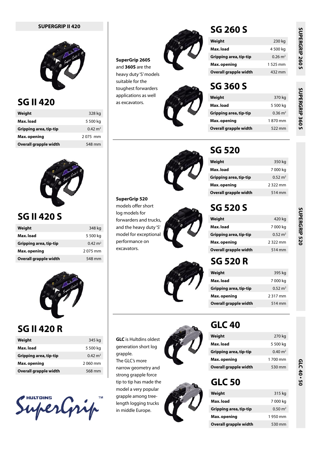

#### **SG II 420**

| Weight                 | 328 kg             |
|------------------------|--------------------|
| Max. load              | 5 500 kg           |
| Gripping area, tip-tip | $0.42 \text{ m}^2$ |
| Max. opening           | 2075 mm            |
| Overall grapple width  | 548 mm             |



#### **SG II 420 S**

| Weight                 | 348 kg             |
|------------------------|--------------------|
| Max. load              | 5 500 kg           |
| Gripping area, tip-tip | $0.42 \text{ m}^2$ |
| Max. opening           | 2075 mm            |
| Overall grapple width  | 548 mm             |



#### **SG II 420 R**

| Weight                 | 345 kg             |
|------------------------|--------------------|
| Max. load              | 5 500 kg           |
| Gripping area, tip-tip | $0.42 \text{ m}^2$ |
| Max. opening           | 2.060 mm           |
| Overall grapple width  | 568 mm             |

SuperGrip



as excavators.





## **SUPERGRIP II 420 SG 260 S**

| Weight                 | 230 kg             |
|------------------------|--------------------|
| Max. load              | 4 500 kg           |
| Gripping area, tip-tip | $0.26 \text{ m}^2$ |
| Max. opening           | 1 525 mm           |
| Overall grapple width  | 432 mm             |

#### **SG 360 S**

| 370 kg             |
|--------------------|
| 5 500 kg           |
| $0.36 \text{ m}^2$ |
| 1.870 mm           |
| 522 mm             |
|                    |



#### **SuperGrip 520** models offer short log models for forwarders and trucks, and the heavy duty 'S' model for exceptional performance on excavators.



## **Weight** 350 kg

**SG 520**

| Max. load              | 7 000 kg           |
|------------------------|--------------------|
| Gripping area, tip-tip | $0.52 \text{ m}^2$ |
| Max.opening            | 2322 mm            |
| Overall grapple width  | 514 mm             |
|                        |                    |

## **SG 520 S**

| Weight                 | 420 kg             |
|------------------------|--------------------|
| Max. load              | 7 000 kg           |
| Gripping area, tip-tip | $0.52 \text{ m}^2$ |
| Max. opening           | 2322 mm            |
| Overall grapple width  | 514 mm             |

## **SG 520 R**

| Weight                 | 395 kg             |
|------------------------|--------------------|
| Max. load              | 7 000 kg           |
| Gripping area, tip-tip | $0.52 \text{ m}^2$ |
| Max. opening           | 2317 mm            |
| Overall grapple width  | 514 mm             |
|                        |                    |

**GLC** is Hultdins oldest generation short log grapple. The GLC's more narrow geometry and strong grapple force tip to tip has made the model a very popular grapple among treelength logging trucks in middle Europe.



## **GLC 40**

| Weight                 | 270 kg             |
|------------------------|--------------------|
| Max. load              | 5 500 kg           |
| Gripping area, tip-tip | $0.40 \text{ m}^2$ |
| Max. opening           | 1 700 mm           |
| Overall grapple width  | 530 mm             |

#### **GLC 50**

| Weight                 | 315 kg             |
|------------------------|--------------------|
| Max. load              | 7 000 kg           |
| Gripping area, tip-tip | $0.50 \text{ m}^2$ |
| Max. opening           | 1950 mm            |
| Overall grapple width  | 530 mm             |

SUPERGRIP 520

GLC 40 - 50

SUPERGRIP 260 S **SUPERGRIP 260 S**